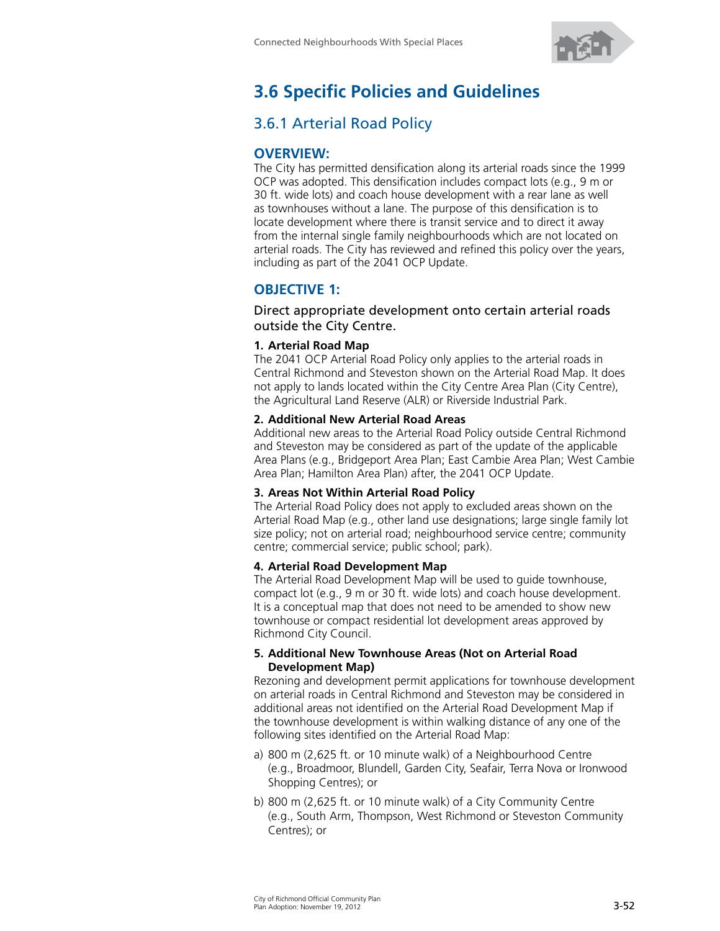

# **3.6 Specific Policies and Guidelines**

## 3.6.1 Arterial Road Policy

## **OVERVIEW:**

The City has permitted densification along its arterial roads since the 1999 OCP was adopted. This densification includes compact lots (e.g., 9 m or 30 ft. wide lots) and coach house development with a rear lane as well as townhouses without a lane. The purpose of this densification is to locate development where there is transit service and to direct it away from the internal single family neighbourhoods which are not located on arterial roads. The City has reviewed and refined this policy over the years, including as part of the 2041 OCP Update.

## **OBJECTIVE 1:**

Direct appropriate development onto certain arterial roads outside the City Centre.

#### **1. Arterial Road Map**

The 2041 OCP Arterial Road Policy only applies to the arterial roads in Central Richmond and Steveston shown on the Arterial Road Map. It does not apply to lands located within the City Centre Area Plan (City Centre), the Agricultural Land Reserve (ALR) or Riverside Industrial Park.

#### **2. Additional New Arterial Road Areas**

Additional new areas to the Arterial Road Policy outside Central Richmond and Steveston may be considered as part of the update of the applicable Area Plans (e.g., Bridgeport Area Plan; East Cambie Area Plan; West Cambie Area Plan; Hamilton Area Plan) after, the 2041 OCP Update.

#### **3. Areas Not Within Arterial Road Policy**

The Arterial Road Policy does not apply to excluded areas shown on the Arterial Road Map (e.g., other land use designations; large single family lot size policy; not on arterial road; neighbourhood service centre; community centre; commercial service; public school; park).

#### **4. Arterial Road Development Map**

The Arterial Road Development Map will be used to guide townhouse, compact lot (e.g., 9 m or 30 ft. wide lots) and coach house development. It is a conceptual map that does not need to be amended to show new townhouse or compact residential lot development areas approved by Richmond City Council.

#### **5. Additional New Townhouse Areas (Not on Arterial Road Development Map)**

Rezoning and development permit applications for townhouse development on arterial roads in Central Richmond and Steveston may be considered in additional areas not identified on the Arterial Road Development Map if the townhouse development is within walking distance of any one of the following sites identified on the Arterial Road Map:

- a) 800 m (2,625 ft. or 10 minute walk) of a Neighbourhood Centre (e.g., Broadmoor, Blundell, Garden City, Seafair, Terra Nova or Ironwood Shopping Centres); or
- b) 800 m (2,625 ft. or 10 minute walk) of a City Community Centre (e.g., South Arm, Thompson, West Richmond or Steveston Community Centres); or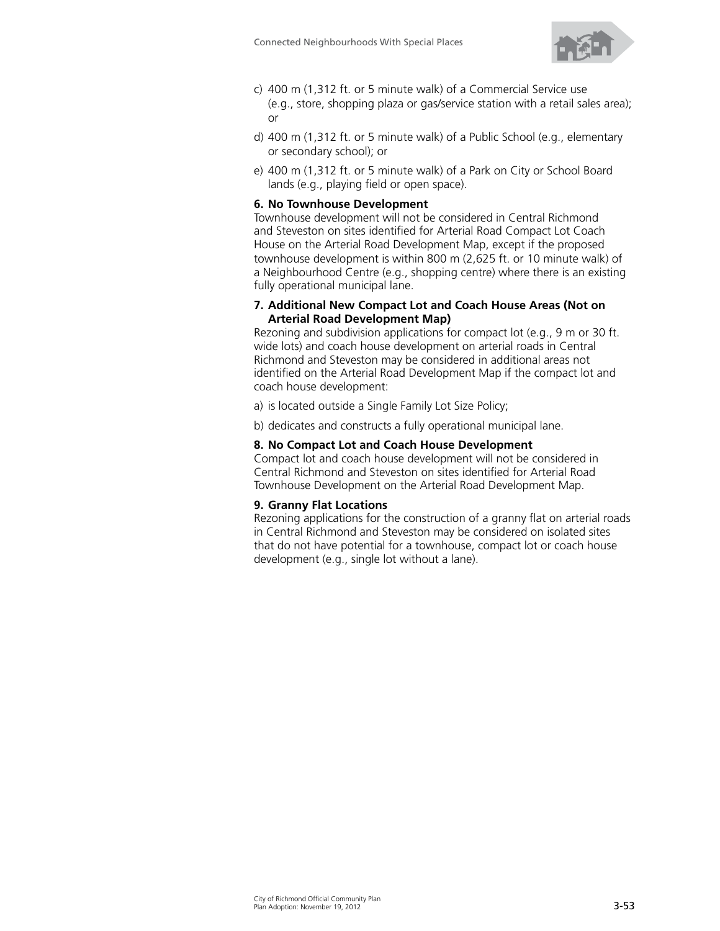

- c) 400 m (1,312 ft. or 5 minute walk) of a Commercial Service use (e.g., store, shopping plaza or gas/service station with a retail sales area); or
- d) 400 m (1,312 ft. or 5 minute walk) of a Public School (e.g., elementary or secondary school); or
- e) 400 m (1,312 ft. or 5 minute walk) of a Park on City or School Board lands (e.g., playing field or open space).

#### **6. No Townhouse Development**

Townhouse development will not be considered in Central Richmond and Steveston on sites identified for Arterial Road Compact Lot Coach House on the Arterial Road Development Map, except if the proposed townhouse development is within 800 m (2,625 ft. or 10 minute walk) of a Neighbourhood Centre (e.g., shopping centre) where there is an existing fully operational municipal lane.

#### **7. Additional New Compact Lot and Coach House Areas (Not on Arterial Road Development Map)**

Rezoning and subdivision applications for compact lot (e.g., 9 m or 30 ft. wide lots) and coach house development on arterial roads in Central Richmond and Steveston may be considered in additional areas not identified on the Arterial Road Development Map if the compact lot and coach house development:

a) is located outside a Single Family Lot Size Policy;

b) dedicates and constructs a fully operational municipal lane.

#### **8. No Compact Lot and Coach House Development**

Compact lot and coach house development will not be considered in Central Richmond and Steveston on sites identified for Arterial Road Townhouse Development on the Arterial Road Development Map.

#### **9. Granny Flat Locations**

Rezoning applications for the construction of a granny flat on arterial roads in Central Richmond and Steveston may be considered on isolated sites that do not have potential for a townhouse, compact lot or coach house development (e.g., single lot without a lane).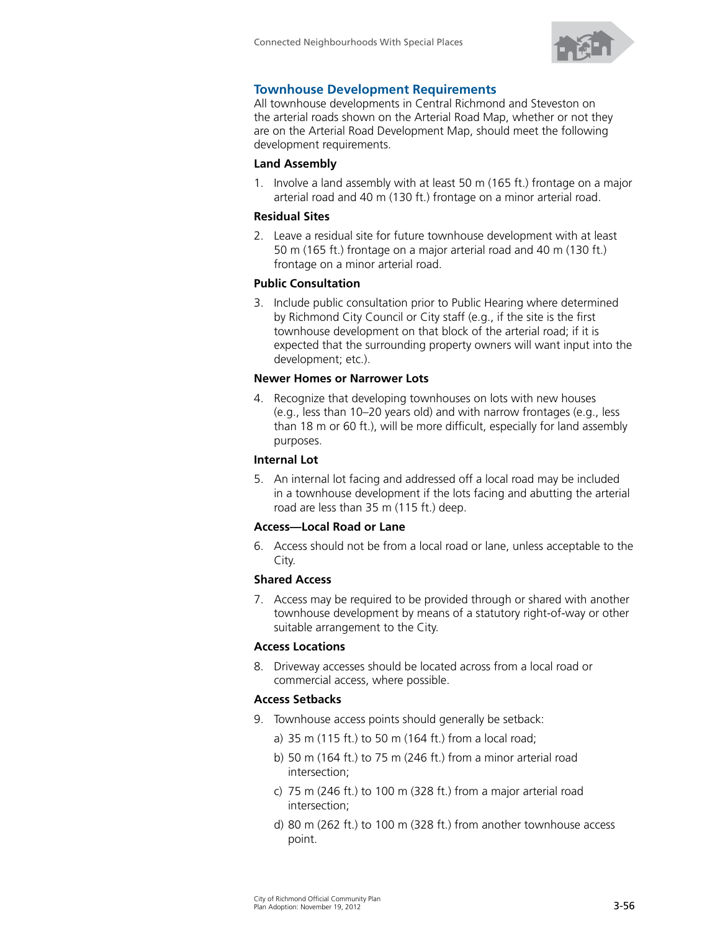

## **Townhouse Development Requirements**

All townhouse developments in Central Richmond and Steveston on the arterial roads shown on the Arterial Road Map, whether or not they are on the Arterial Road Development Map, should meet the following development requirements.

#### **Land Assembly**

1. Involve a land assembly with at least 50 m (165 ft.) frontage on a major arterial road and 40 m (130 ft.) frontage on a minor arterial road.

#### **Residual Sites**

2. Leave a residual site for future townhouse development with at least 50 m (165 ft.) frontage on a major arterial road and 40 m (130 ft.) frontage on a minor arterial road.

#### **Public Consultation**

3. Include public consultation prior to Public Hearing where determined by Richmond City Council or City staff (e.g., if the site is the first townhouse development on that block of the arterial road; if it is expected that the surrounding property owners will want input into the development; etc.).

#### **Newer Homes or Narrower Lots**

4. Recognize that developing townhouses on lots with new houses (e.g., less than 10–20 years old) and with narrow frontages (e.g., less than 18 m or 60 ft.), will be more difficult, especially for land assembly purposes.

## **Internal Lot**

5. An internal lot facing and addressed off a local road may be included in a townhouse development if the lots facing and abutting the arterial road are less than 35 m (115 ft.) deep.

## **Access—Local Road or Lane**

6. Access should not be from a local road or lane, unless acceptable to the City.

## **Shared Access**

7. Access may be required to be provided through or shared with another townhouse development by means of a statutory right-of-way or other suitable arrangement to the City.

## **Access Locations**

8. Driveway accesses should be located across from a local road or commercial access, where possible.

#### **Access Setbacks**

- 9. Townhouse access points should generally be setback:
	- a) 35 m (115 ft.) to 50 m (164 ft.) from a local road;
	- b) 50 m (164 ft.) to 75 m (246 ft.) from a minor arterial road intersection;
	- c) 75 m (246 ft.) to 100 m (328 ft.) from a major arterial road intersection;
	- d) 80 m (262 ft.) to 100 m (328 ft.) from another townhouse access point.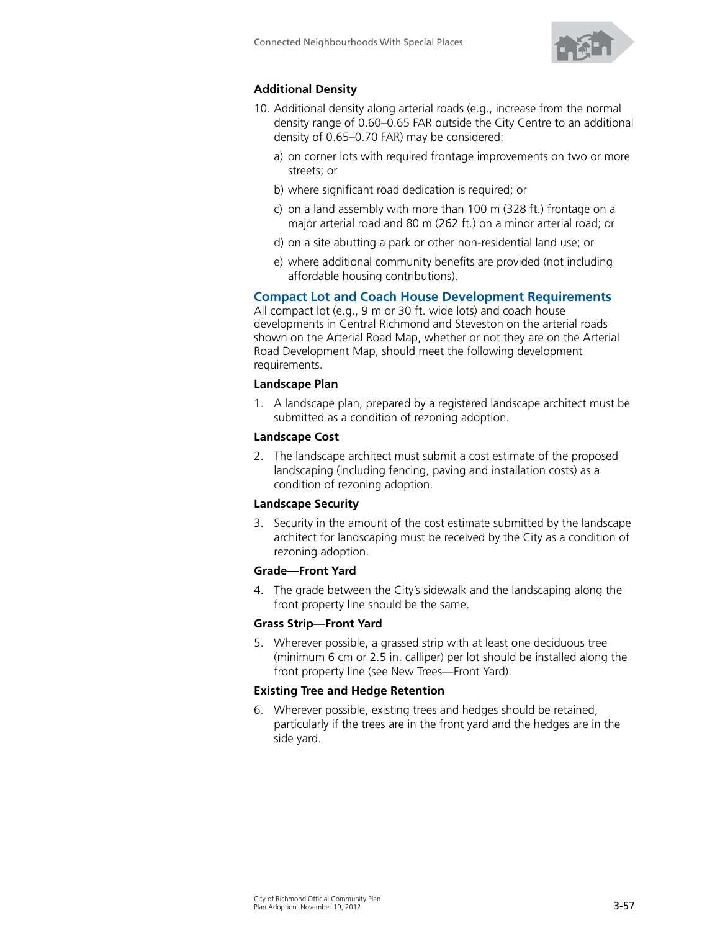

## **Additional Density**

- 10. Additional density along arterial roads (e.g., increase from the normal density range of 0.60–0.65 FAR outside the City Centre to an additional density of 0.65–0.70 FAR) may be considered:
	- a) on corner lots with required frontage improvements on two or more streets; or
	- b) where significant road dedication is required; or
	- c) on a land assembly with more than 100 m (328 ft.) frontage on a major arterial road and 80 m (262 ft.) on a minor arterial road; or
	- d) on a site abutting a park or other non-residential land use; or
	- e) where additional community benefits are provided (not including affordable housing contributions).

#### **Compact Lot and Coach House Development Requirements**

All compact lot (e.g., 9 m or 30 ft. wide lots) and coach house developments in Central Richmond and Steveston on the arterial roads shown on the Arterial Road Map, whether or not they are on the Arterial Road Development Map, should meet the following development requirements.

#### **Landscape Plan**

1. A landscape plan, prepared by a registered landscape architect must be submitted as a condition of rezoning adoption.

#### **Landscape Cost**

2. The landscape architect must submit a cost estimate of the proposed landscaping (including fencing, paving and installation costs) as a condition of rezoning adoption.

#### **Landscape Security**

3. Security in the amount of the cost estimate submitted by the landscape architect for landscaping must be received by the City as a condition of rezoning adoption.

#### **Grade—Front Yard**

4. The grade between the City's sidewalk and the landscaping along the front property line should be the same.

#### **Grass Strip—Front Yard**

5. Wherever possible, a grassed strip with at least one deciduous tree (minimum 6 cm or 2.5 in. calliper) per lot should be installed along the front property line (see New Trees—Front Yard).

#### **Existing Tree and Hedge Retention**

6. Wherever possible, existing trees and hedges should be retained, particularly if the trees are in the front yard and the hedges are in the side yard.